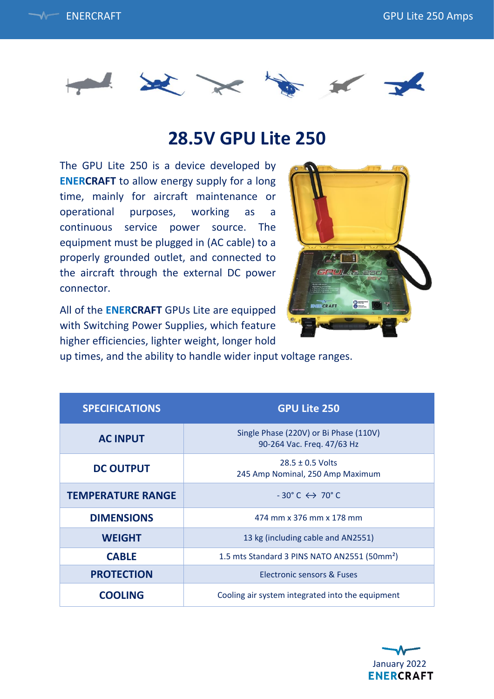



## **28.5V GPU Lite 250**

The GPU Lite 250 is a device developed by **ENERCRAFT** to allow energy supply for a long time, mainly for aircraft maintenance or operational purposes, working as a continuous service power source. The equipment must be plugged in (AC cable) to a properly grounded outlet, and connected to the aircraft through the external DC power connector.

All of the **ENERCRAFT** GPUs Lite are equipped with Switching Power Supplies, which feature higher efficiencies, lighter weight, longer hold



up times, and the ability to handle wider input voltage ranges.

| <b>SPECIFICATIONS</b>    | <b>GPU Lite 250</b>                                                  |
|--------------------------|----------------------------------------------------------------------|
| <b>AC INPUT</b>          | Single Phase (220V) or Bi Phase (110V)<br>90-264 Vac. Freq. 47/63 Hz |
| <b>DC OUTPUT</b>         | $28.5 \pm 0.5$ Volts<br>245 Amp Nominal, 250 Amp Maximum             |
| <b>TEMPERATURE RANGE</b> | $-30^{\circ}$ C $\leftrightarrow$ 70 $^{\circ}$ C                    |
| <b>DIMENSIONS</b>        | 474 mm x 376 mm x 178 mm                                             |
| <b>WEIGHT</b>            | 13 kg (including cable and AN2551)                                   |
| <b>CABLE</b>             | 1.5 mts Standard 3 PINS NATO AN2551 (50mm <sup>2</sup> )             |
| <b>PROTECTION</b>        | Electronic sensors & Fuses                                           |
| <b>COOLING</b>           | Cooling air system integrated into the equipment                     |